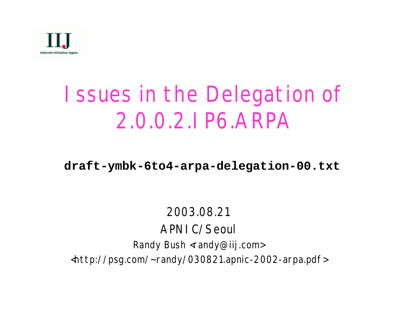

# Issues in the Delegation of 2.0.0.2.IP6.ARPA

#### **draft-ymbk-6to4-arpa-delegation-00.txt**

#### 2003.08.21 APNIC/Seoul Randy Bush <randy@iij.com> <http://psg.com/~randy/030821.apnic-2002-arpa.pdf>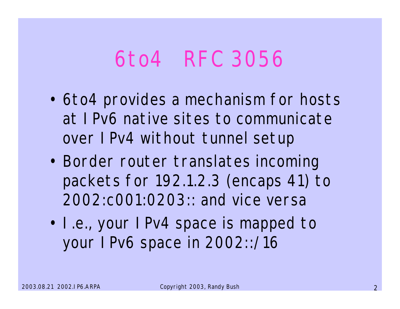### 6to4 RFC 3056

- 6to4 provides a mechanism for hosts at IPv6 native sites to communicate over IPv4 without tunnel setup
- Border router translates incoming packets for 192.1.2.3 (encaps 41) to 2002:c001:0203:: and vice versa
- I.e., your IPv4 space is mapped to your IPv6 space in 2002::/16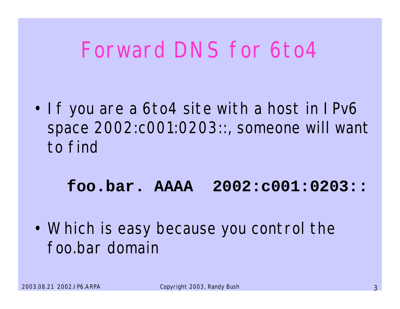## Forward DNS for 6to4

• If you are a 6to4 site with a host in IPv6 space 2002:c001:0203::, someone will want to find

#### **foo.bar. AAAA 2002:c001:0203::**

• Which is easy because you control the foo.bar domain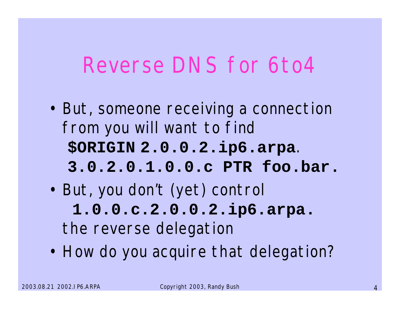### Reverse DNS for 6to4

- But, someone receiving a connection from you will want to find **\$ORIGIN 2.0.0.2.ip6.arpa**. **3.0.2.0.1.0.0.c PTR foo.bar.**
- But, you don't (yet) control **1.0.0.c.2.0.0.2.ip6.arpa.** the reverse delegation
- How do you acquire that delegation?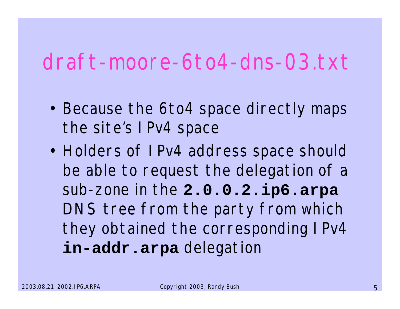#### draft-moore-6to4-dns-03.txt

- Because the 6to4 space directly maps the site's IPv4 space
- Holders of IPv4 address space should be able to request the delegation of a sub-zone in the **2.0.0.2.ip6.arpa** DNS tree from the party from which they obtained the corresponding IPv4 **in-addr.arpa** delegation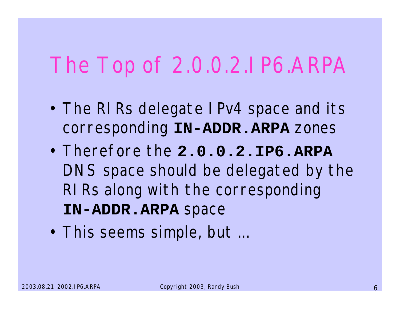# The Top of 2.0.0.2.IP6.ARPA

- The RIRs delegate IPv4 space and its corresponding **IN-ADDR.ARPA** zones
- Therefore the **2.0.0.2.IP6.ARPA** DNS space should be delegated by the RIRs along with the corresponding **IN-ADDR.ARPA** space
- This seems simple, but ...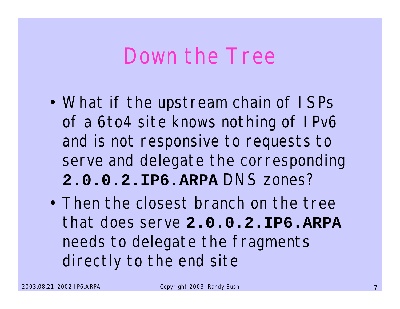#### Down the Tree

- What if the upstream chain of ISPs of a 6to4 site knows nothing of IPv6 and is not responsive to requests to serve and delegate the corresponding **2.0.0.2.IP6.ARPA** DNS zones?
- Then the closest branch on the tree that does serve **2.0.0.2.IP6.ARPA** needs to delegate the fragments directly to the end site